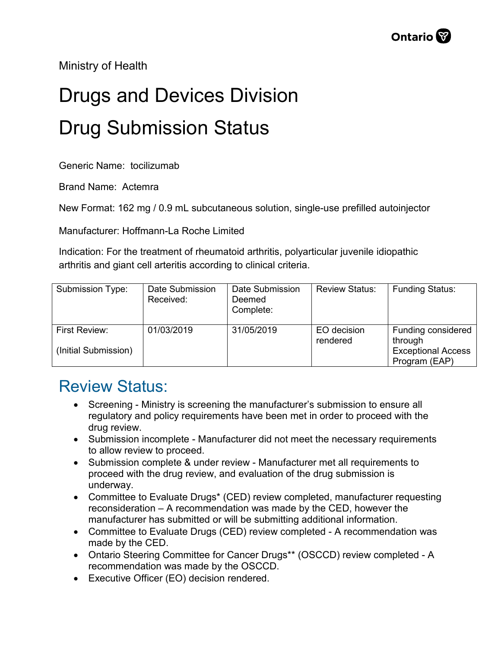Ministry of Health

## Drugs and Devices Division Drug Submission Status

Generic Name: tocilizumab

Brand Name: Actemra

New Format: 162 mg / 0.9 mL subcutaneous solution, single-use prefilled autoinjector

Manufacturer: Hoffmann-La Roche Limited

Indication: For the treatment of rheumatoid arthritis, polyarticular juvenile idiopathic arthritis and giant cell arteritis according to clinical criteria.

| Submission Type:                      | Date Submission<br>Received: | Date Submission<br>Deemed<br>Complete: | <b>Review Status:</b>   | <b>Funding Status:</b>                                                      |
|---------------------------------------|------------------------------|----------------------------------------|-------------------------|-----------------------------------------------------------------------------|
| First Review:<br>(Initial Submission) | 01/03/2019                   | 31/05/2019                             | EO decision<br>rendered | Funding considered<br>through<br><b>Exceptional Access</b><br>Program (EAP) |

## Review Status:

- Screening Ministry is screening the manufacturer's submission to ensure all regulatory and policy requirements have been met in order to proceed with the drug review.
- Submission incomplete Manufacturer did not meet the necessary requirements to allow review to proceed.
- Submission complete & under review Manufacturer met all requirements to proceed with the drug review, and evaluation of the drug submission is underway.
- Committee to Evaluate Drugs\* (CED) review completed, manufacturer requesting reconsideration – A recommendation was made by the CED, however the manufacturer has submitted or will be submitting additional information.
- Committee to Evaluate Drugs (CED) review completed A recommendation was made by the CED.
- Ontario Steering Committee for Cancer Drugs\*\* (OSCCD) review completed A recommendation was made by the OSCCD.
- Executive Officer (EO) decision rendered.